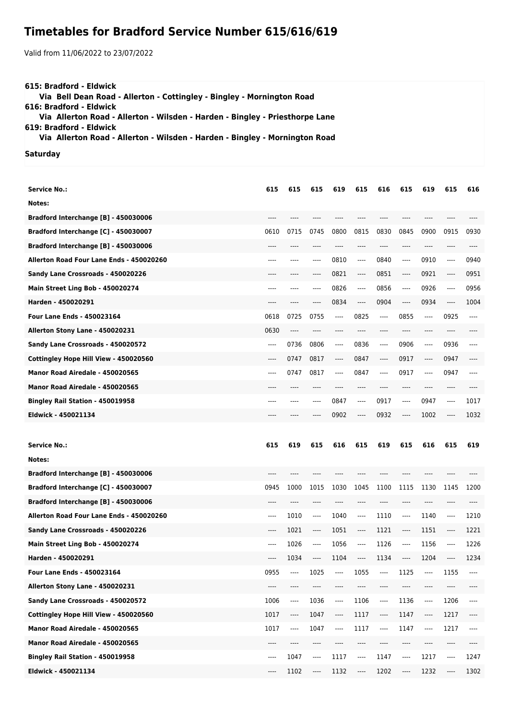## **Timetables for Bradford Service Number 615/616/619**

Valid from 11/06/2022 to 23/07/2022

| 615: Bradford - Eldwick                                                                                                                                                                                                        |  |
|--------------------------------------------------------------------------------------------------------------------------------------------------------------------------------------------------------------------------------|--|
| Via Bell Dean Road - Allerton - Cottingley - Bingley - Mornington Road                                                                                                                                                         |  |
| 616: Bradford - Eldwick                                                                                                                                                                                                        |  |
| Via Allerton Road - Allerton - Wilsden - Harden - Bingley - Priesthorpe Lane                                                                                                                                                   |  |
| 619: Bradford - Eldwick                                                                                                                                                                                                        |  |
| Via Allerton Road - Allerton - Wilsden - Harden - Bingley - Mornington Road                                                                                                                                                    |  |
| And the contract of the contract of the contract of the contract of the contract of the contract of the contract of the contract of the contract of the contract of the contract of the contract of the contract of the contra |  |

## **Saturday**

| Service No.:                             | 615   | 615  | 615                           | 619      | 615                           | 616     | 615                                                  | 619                           | 615   | 616  |
|------------------------------------------|-------|------|-------------------------------|----------|-------------------------------|---------|------------------------------------------------------|-------------------------------|-------|------|
| Notes:                                   |       |      |                               |          |                               |         |                                                      |                               |       |      |
| Bradford Interchange [B] - 450030006     | ----  |      |                               | ----     |                               |         | $---$                                                | ----                          | ----  |      |
| Bradford Interchange [C] - 450030007     | 0610  | 0715 | 0745                          | 0800     | 0815                          | 0830    | 0845                                                 | 0900                          | 0915  | 0930 |
| Bradford Interchange [B] - 450030006     |       |      |                               |          |                               |         | ----                                                 |                               |       |      |
| Allerton Road Four Lane Ends - 450020260 | ----  | ---- | ----                          | 0810     | $---$                         | 0840    | $---$                                                | 0910                          | ----  | 0940 |
| Sandy Lane Crossroads - 450020226        | ----  | ---- | ----                          | 0821     | $\cdots$                      | 0851    | $\hspace{1.5cm} \textbf{---}$                        | 0921                          | ----  | 0951 |
| Main Street Ling Bob - 450020274         | ----  | ---- | ----                          | 0826     | $---$                         | 0856    | $---$                                                | 0926                          | ----  | 0956 |
| Harden - 450020291                       |       |      | ----                          | 0834     | ----                          | 0904    | $\hspace{1.5cm} \textbf{---}$                        | 0934                          | ----  | 1004 |
| <b>Four Lane Ends - 450023164</b>        | 0618  | 0725 | 0755                          | ----     | 0825                          | $---$   | 0855                                                 | $-----$                       | 0925  | ---- |
| Allerton Stony Lane - 450020231          | 0630  | ---- | ----                          | ----     | ----                          | $---$   | $---$                                                | ----                          | ----  |      |
| Sandy Lane Crossroads - 450020572        | $---$ | 0736 | 0806                          | $\cdots$ | 0836                          | ----    | 0906                                                 | ----                          | 0936  | ---- |
| Cottingley Hope Hill View - 450020560    | ----  | 0747 | 0817                          | ----     | 0847                          | $-----$ | 0917                                                 | ----                          | 0947  | ---- |
| Manor Road Airedale - 450020565          | ----  | 0747 | 0817                          | ----     | 0847                          | $---$   | 0917                                                 | $---$                         | 0947  | ---- |
| Manor Road Airedale - 450020565          | ----  | ---- | ----                          |          | ----                          | ----    | $---$                                                | ----                          | ----  |      |
| Bingley Rail Station - 450019958         | ----  |      | ----                          | 0847     | ----                          | 0917    | $---$                                                | 0947                          | ----  | 1017 |
| Eldwick - 450021134                      | ----  |      |                               | 0902     | ----                          | 0932    | $-----$                                              | 1002                          |       | 1032 |
|                                          |       |      |                               |          |                               |         |                                                      |                               |       |      |
| <b>Service No.:</b>                      | 615   | 619  | 615                           | 616      | 615                           | 619     | 615                                                  | 616                           | 615   | 619  |
| Notes:                                   |       |      |                               |          |                               |         |                                                      |                               |       |      |
| Bradford Interchange [B] - 450030006     | ----  | ---- | $---$                         | ----     | ----                          | ----    | $---$                                                | ----                          | ----  |      |
| Bradford Interchange [C] - 450030007     | 0945  | 1000 | 1015                          | 1030     | 1045                          | 1100    | 1115                                                 | 1130                          | 1145  | 1200 |
| Bradford Interchange [B] - 450030006     |       |      |                               |          |                               |         | ----                                                 |                               |       |      |
| Allerton Road Four Lane Ends - 450020260 |       |      |                               |          |                               |         |                                                      | ----                          |       |      |
|                                          | ----  | 1010 | $-----$                       | 1040     | ----                          | 1110    | $-----$                                              | 1140                          | $---$ | 1210 |
| Sandy Lane Crossroads - 450020226        | ----  | 1021 | $-----$                       | 1051     | ----                          | 1121    | $\hspace{0.05cm}\rule{0.7pt}{0.1ex}\hspace{0.025cm}$ | 1151                          | $---$ | 1221 |
| Main Street Ling Bob - 450020274         | ----  | 1026 | $-----$                       | 1056     | $---$                         | 1126    | $---$                                                | 1156                          | ----  | 1226 |
| Harden - 450020291                       |       | 1034 | ----                          | 1104     | ----                          | 1134    | $---$                                                | 1204                          | ----  | 1234 |
| Four Lane Ends - 450023164               | 0955  | ---- | 1025                          | ----     | 1055                          | ----    | 1125                                                 | ----                          | 1155  | ---- |
| Allerton Stony Lane - 450020231          | ----  | ---- | ----                          | ----     | ----                          | ----    | ----                                                 | ----                          | ----  |      |
| Sandy Lane Crossroads - 450020572        | 1006  | ---- | 1036                          | ----     | 1106                          | ----    | 1136                                                 | $\hspace{1.5cm} \textbf{---}$ | 1206  | ---- |
| Cottingley Hope Hill View - 450020560    | 1017  | ---- | 1047                          | ----     | 1117                          | ----    | 1147                                                 | ----                          | 1217  | ---- |
| Manor Road Airedale - 450020565          | 1017  | ---- | 1047                          | ----     | 1117                          | ----    | 1147                                                 | ----                          | 1217  | ---- |
| Manor Road Airedale - 450020565          | ----  | ---- | $\hspace{1.5cm} \textbf{---}$ | ----     | ----                          | ----    | $\hspace{1.5cm} \textbf{---}$                        | ----                          | ----  | ---- |
| Bingley Rail Station - 450019958         | ----  | 1047 | ----                          | 1117     | $\hspace{1.5cm} \textbf{---}$ | 1147    | ----                                                 | 1217                          | $---$ | 1247 |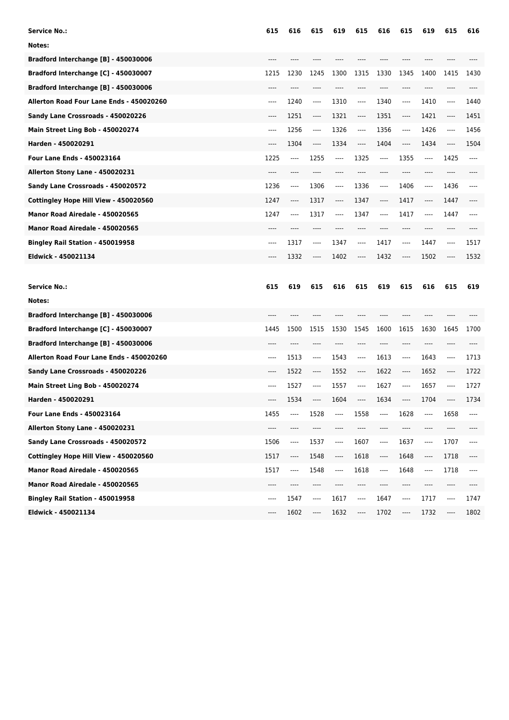| Service No.:                             | 615                           | 616  | 615   | 619  | 615   | 616     | 615   | 619                   | 615   | 616  |
|------------------------------------------|-------------------------------|------|-------|------|-------|---------|-------|-----------------------|-------|------|
| Notes:                                   |                               |      |       |      |       |         |       |                       |       |      |
| Bradford Interchange [B] - 450030006     | ----                          | ---- | ----  | ---- | ----  | ----    | ----  | ----                  | ----  |      |
| Bradford Interchange [C] - 450030007     | 1215                          | 1230 | 1245  | 1300 | 1315  | 1330    | 1345  | 1400                  | 1415  | 1430 |
| Bradford Interchange [B] - 450030006     |                               |      |       |      |       |         |       |                       |       |      |
| Allerton Road Four Lane Ends - 450020260 | $-----$                       | 1240 | ----  | 1310 | ----  | 1340    | ----  | 1410                  | ----  | 1440 |
| Sandy Lane Crossroads - 450020226        | ----                          | 1251 | ----  | 1321 | ----  | 1351    | ----  | 1421                  | ----  | 1451 |
| Main Street Ling Bob - 450020274         | ----                          | 1256 | $---$ | 1326 | ----  | 1356    | ----  | 1426                  | ----  | 1456 |
| Harden - 450020291                       | ----                          | 1304 | ----  | 1334 | ----  | 1404    | ----  | 1434                  | ----  | 1504 |
| <b>Four Lane Ends - 450023164</b>        | 1225                          | ---- | 1255  | ---- | 1325  | $-----$ | 1355  | ----                  | 1425  | ---- |
| Allerton Stony Lane - 450020231          | ----                          | ---- | ----  | ---- | ----  | ----    | ----  | ----                  | ----  |      |
| Sandy Lane Crossroads - 450020572        | 1236                          | ---- | 1306  | ---- | 1336  | ----    | 1406  | ----                  | 1436  | ---- |
| Cottingley Hope Hill View - 450020560    | 1247                          | ---- | 1317  | ---- | 1347  | $-----$ | 1417  | ----                  | 1447  |      |
| Manor Road Airedale - 450020565          | 1247                          | ---- | 1317  | ---- | 1347  | ----    | 1417  | ----                  | 1447  | ---- |
| Manor Road Airedale - 450020565          | ----                          | ---- | ----  | ---- | ----  | ----    | ----  | ----                  | ----  |      |
| Bingley Rail Station - 450019958         | ----                          | 1317 | ----  | 1347 | ----  | 1417    | ----  | 1447                  | ----  | 1517 |
| Eldwick - 450021134                      |                               | 1332 | ----  | 1402 | ----  | 1432    | ----  | 1502                  | ----  | 1532 |
|                                          |                               |      |       |      |       |         |       |                       |       |      |
|                                          |                               |      |       |      |       |         |       |                       |       |      |
| <b>Service No.:</b>                      | 615                           | 619  | 615   | 616  | 615   | 619     | 615   | 616                   | 615   | 619  |
| Notes:                                   |                               |      |       |      |       |         |       |                       |       |      |
| Bradford Interchange [B] - 450030006     | ----                          | ---- | ----  | ---- |       | ----    | $---$ | $---$                 | ----  | ---- |
| Bradford Interchange [C] - 450030007     | 1445                          | 1500 | 1515  | 1530 | 1545  | 1600    | 1615  | 1630                  | 1645  | 1700 |
| Bradford Interchange [B] - 450030006     | ----                          | ---- | $---$ |      | ----  | ----    | $---$ | $---$                 | ----  | ---- |
| Allerton Road Four Lane Ends - 450020260 | $---$                         | 1513 | ----  | 1543 | $---$ | 1613    | $---$ | 1643                  | ----  | 1713 |
| Sandy Lane Crossroads - 450020226        | $---$                         | 1522 | ----  | 1552 | ----  | 1622    | $---$ | 1652                  | ----  | 1722 |
| Main Street Ling Bob - 450020274         | $---$                         | 1527 | $---$ | 1557 | $---$ | 1627    | $---$ | 1657                  | $---$ | 1727 |
| Harden - 450020291                       | ----                          | 1534 | ----  | 1604 | ----  | 1634    | $---$ | 1704                  | ----  | 1734 |
| Four Lane Ends - 450023164               | 1455                          | ---- | 1528  | ---- | 1558  | ----    | 1628  | ----                  | 1658  | ---- |
| Allerton Stony Lane - 450020231          | ----                          | ---- | ----  | ---- | ----  | ----    | ----  | $\cdots$              | ----  | ---- |
| Sandy Lane Crossroads - 450020572        | 1506                          | ---- | 1537  | ---- | 1607  | ----    | 1637  | $\qquad \qquad - - -$ | 1707  | ---- |
| Cottingley Hope Hill View - 450020560    | 1517                          | ---- | 1548  | ---- | 1618  | ----    | 1648  | ----                  | 1718  | ---- |
| Manor Road Airedale - 450020565          | 1517                          | ---- | 1548  | ---- | 1618  | ----    | 1648  | $\qquad \qquad - - -$ | 1718  | ---- |
| Manor Road Airedale - 450020565          | $\hspace{1.5cm} \textbf{---}$ | ---- | ----  | ---- | ----  | ----    | ----  | ----                  | ----  | ---- |
| Bingley Rail Station - 450019958         | $---$                         | 1547 | ----  | 1617 | ----  | 1647    | ----  | 1717                  | ----  | 1747 |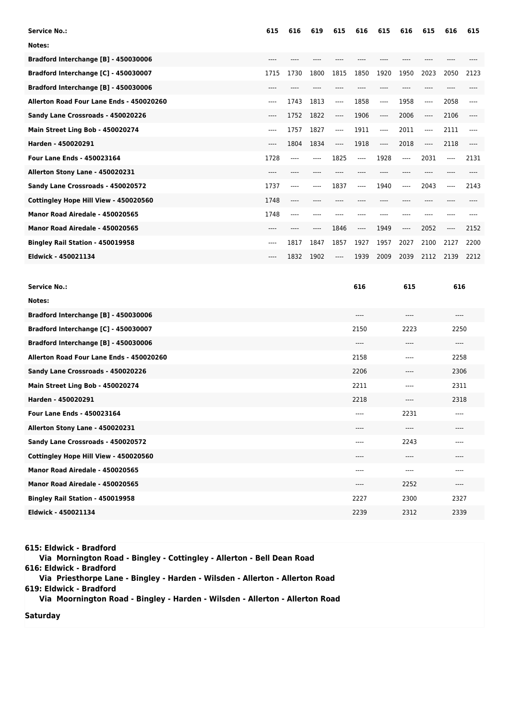| <b>Service No.:</b>                      | 615    | 616  | 619  | 615   | 616   | 615   | 616   | 615   | 616   | 615  |
|------------------------------------------|--------|------|------|-------|-------|-------|-------|-------|-------|------|
| Notes:                                   |        |      |      |       |       |       |       |       |       |      |
| Bradford Interchange [B] - 450030006     | ----   |      |      |       |       |       |       |       |       |      |
| Bradford Interchange [C] - 450030007     | 1715   | 1730 | 1800 | 1815  | 1850  | 1920  | 1950  | 2023  | 2050  | 2123 |
| Bradford Interchange [B] - 450030006     | $----$ |      |      |       |       |       |       |       |       |      |
| Allerton Road Four Lane Ends - 450020260 | ----   | 1743 | 1813 | ----  | 1858  | ----  | 1958  | $---$ | 2058  |      |
| Sandy Lane Crossroads - 450020226        | ----   | 1752 | 1822 | ----  | 1906  | ----  | 2006  | ----  | 2106  | ---- |
| Main Street Ling Bob - 450020274         | ----   | 1757 | 1827 | $---$ | 1911  | ----  | 2011  | $---$ | 2111  | ---- |
| Harden - 450020291                       | ----   | 1804 | 1834 | $---$ | 1918  | $---$ | 2018  | ----  | 2118  |      |
| <b>Four Lane Ends - 450023164</b>        | 1728   | ---- | ---- | 1825  | ----  | 1928  | $---$ | 2031  | $---$ | 2131 |
| Allerton Stony Lane - 450020231          | ----   |      |      |       |       |       |       |       |       |      |
| Sandy Lane Crossroads - 450020572        | 1737   | ---- | ---- | 1837  | $---$ | 1940  | $---$ | 2043  | $---$ | 2143 |
| Cottingley Hope Hill View - 450020560    | 1748   | ---- |      |       |       |       |       |       |       |      |
| Manor Road Airedale - 450020565          | 1748   | ---- | ---- |       |       |       | ----  |       | ----  |      |
| Manor Road Airedale - 450020565          | ----   |      | ---- | 1846  | $---$ | 1949  | $---$ | 2052  | ----  | 2152 |
| Bingley Rail Station - 450019958         | ----   | 1817 | 1847 | 1857  | 1927  | 1957  | 2027  | 2100  | 2127  | 2200 |
| Eldwick - 450021134                      | ----   | 1832 | 1902 | ----  | 1939  | 2009  | 2039  | 2112  | 2139  | 2212 |
|                                          |        |      |      |       |       |       |       |       |       |      |

| <b>Service No.:</b>                      | 616  | 615   | 616      |
|------------------------------------------|------|-------|----------|
| Notes:                                   |      |       |          |
| Bradford Interchange [B] - 450030006     | ---- | ----  | ----     |
| Bradford Interchange [C] - 450030007     | 2150 | 2223  | 2250     |
| Bradford Interchange [B] - 450030006     | ---- | $---$ | $---$    |
| Allerton Road Four Lane Ends - 450020260 | 2158 | $---$ | 2258     |
| Sandy Lane Crossroads - 450020226        | 2206 | $---$ | 2306     |
| Main Street Ling Bob - 450020274         | 2211 | $---$ | 2311     |
| Harden - 450020291                       | 2218 | $---$ | 2318     |
| <b>Four Lane Ends - 450023164</b>        | ---- | 2231  | $---$    |
| Allerton Stony Lane - 450020231          | ---- | $---$ | $--- -$  |
| Sandy Lane Crossroads - 450020572        | ---- | 2243  | ----     |
| Cottingley Hope Hill View - 450020560    | ---- | $---$ | ----     |
| Manor Road Airedale - 450020565          | ---- | $---$ | $-- - -$ |
| Manor Road Airedale - 450020565          | ---- | 2252  | $---$    |
| Bingley Rail Station - 450019958         | 2227 | 2300  | 2327     |
| Eldwick - 450021134                      | 2239 | 2312  | 2339     |

**615: Eldwick - Bradford**

 **Via Mornington Road - Bingley - Cottingley - Allerton - Bell Dean Road 616: Eldwick - Bradford Via Priesthorpe Lane - Bingley - Harden - Wilsden - Allerton - Allerton Road 619: Eldwick - Bradford Via Moornington Road - Bingley - Harden - Wilsden - Allerton - Allerton Road**

**Saturday**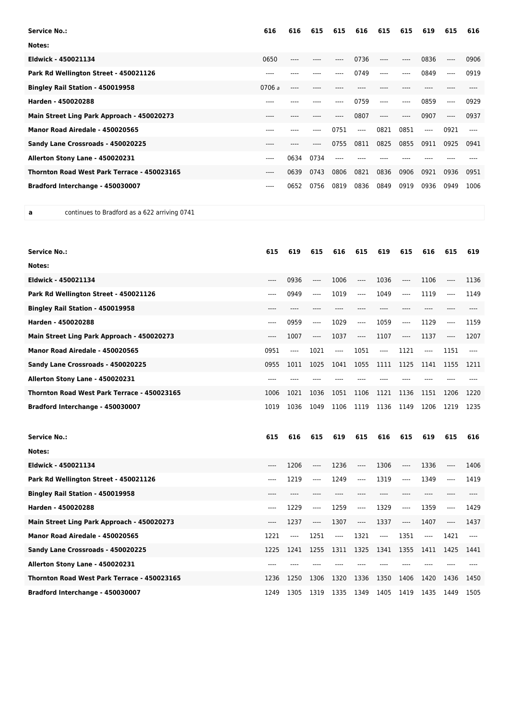| <b>Service No.:</b>                         | 616    | 616   | 615  | 615  | 616  | 615   | 615  | 619  | 615   | 616  |
|---------------------------------------------|--------|-------|------|------|------|-------|------|------|-------|------|
| Notes:                                      |        |       |      |      |      |       |      |      |       |      |
| Eldwick - 450021134                         | 0650   |       |      |      | 0736 | ----  | ---- | 0836 | $---$ | 0906 |
| Park Rd Wellington Street - 450021126       | ----   |       |      | ---- | 0749 | ----  | ---- | 0849 | ----  | 0919 |
| Bingley Rail Station - 450019958            | 0706a  | $---$ |      |      |      |       |      |      |       |      |
| Harden - 450020288                          | ----   |       |      |      | 0759 | ----  | ---- | 0859 | ----  | 0929 |
| Main Street Ling Park Approach - 450020273  | $---$  |       |      |      | 0807 | $---$ | ---- | 0907 | $---$ | 0937 |
| Manor Road Airedale - 450020565             | ----   |       |      | 0751 | ---- | 0821  | 0851 | ---- | 0921  | ---- |
| Sandy Lane Crossroads - 450020225           | ----   |       | ---- | 0755 | 0811 | 0825  | 0855 | 0911 | 0925  | 0941 |
| Allerton Stony Lane - 450020231             | $----$ | 0634  | 0734 | ---- |      |       |      |      |       |      |
| Thornton Road West Park Terrace - 450023165 | ----   | 0639  | 0743 | 0806 | 0821 | 0836  | 0906 | 0921 | 0936  | 0951 |
| Bradford Interchange - 450030007            | ----   | 0652  | 0756 | 0819 | 0836 | 0849  | 0919 | 0936 | 0949  | 1006 |

**a** continues to Bradford as a 622 arriving 0741

| <b>Service No.:</b>                         | 615   | 619  | 615      | 616       | 615      | 619   | 615   | 616   | 615   | 619   |
|---------------------------------------------|-------|------|----------|-----------|----------|-------|-------|-------|-------|-------|
| Notes:                                      |       |      |          |           |          |       |       |       |       |       |
| Eldwick - 450021134                         | ----  | 0936 | $---$    | 1006      | ----     | 1036  | ----  | 1106  | $---$ | 1136  |
| Park Rd Wellington Street - 450021126       | ----  | 0949 | $---$    | 1019      | $---$    | 1049  | ----  | 1119  | $---$ | 1149  |
| Bingley Rail Station - 450019958            |       | ---- |          |           |          |       |       | ----  |       |       |
| Harden - 450020288                          | ----  | 0959 | $\cdots$ | 1029      | $---$    | 1059  | ----  | 1129  | ----  | 1159  |
| Main Street Ling Park Approach - 450020273  | ----  | 1007 | ----     | 1037      | $---$    | 1107  | ----  | 1137  | $---$ | 1207  |
| Manor Road Airedale - 450020565             | 0951  | ---- | 1021     | $---$     | 1051     | $---$ | 1121  | $---$ | 1151  | $---$ |
| Sandy Lane Crossroads - 450020225           | 0955  | 1011 | 1025     | 1041      | 1055     | 1111  | 1125  | 1141  | 1155  | 1211  |
| Allerton Stony Lane - 450020231             | ----  |      |          |           |          |       |       |       |       |       |
| Thornton Road West Park Terrace - 450023165 | 1006  | 1021 | 1036     | 1051      | 1106     | 1121  | 1136  | 1151  | 1206  | 1220  |
| Bradford Interchange - 450030007            | 1019  | 1036 | 1049     | 1106      | 1119     | 1136  | 1149  | 1206  | 1219  | 1235  |
| <b>Service No.:</b>                         | 615   | 616  | 615      | 619       | 615      | 616   | 615   | 619   | 615   | 616   |
| Notes:                                      |       |      |          |           |          |       |       |       |       |       |
| Eldwick - 450021134                         | ----  | 1206 | $\cdots$ | 1236      | $-----$  | 1306  | ----  | 1336  | ----  | 1406  |
| Park Rd Wellington Street - 450021126       | $---$ | 1219 | $---$    | 1249      | $---$    | 1319  | $---$ | 1349  | $---$ | 1419  |
| Bingley Rail Station - 450019958            | $---$ | ---- | $---$    | $- - - -$ | ----     | $---$ | ----  | $---$ |       |       |
| Harden - 450020288                          | ----  | 1229 | $\cdots$ | 1259      | $---$    | 1329  | ----  | 1359  | $---$ | 1429  |
| Main Street Ling Park Approach - 450020273  | ----  | 1237 | $---$    | 1307      | $\cdots$ | 1337  | ----  | 1407  | $---$ | 1437  |
| Manor Road Airedale - 450020565             | 1221  | ---- | 1251     | ----      | 1321     | $---$ | 1351  | $---$ | 1421  |       |
| Sandy Lane Crossroads - 450020225           | 1225  | 1241 | 1255     | 1311      | 1325     | 1341  | 1355  | 1411  | 1425  | 1441  |
| Allerton Stony Lane - 450020231             | ----  |      |          |           |          |       |       |       |       |       |
|                                             |       |      |          |           |          |       |       |       |       |       |
| Thornton Road West Park Terrace - 450023165 | 1236  | 1250 | 1306     | 1320      | 1336     | 1350  | 1406  | 1420  | 1436  | 1450  |